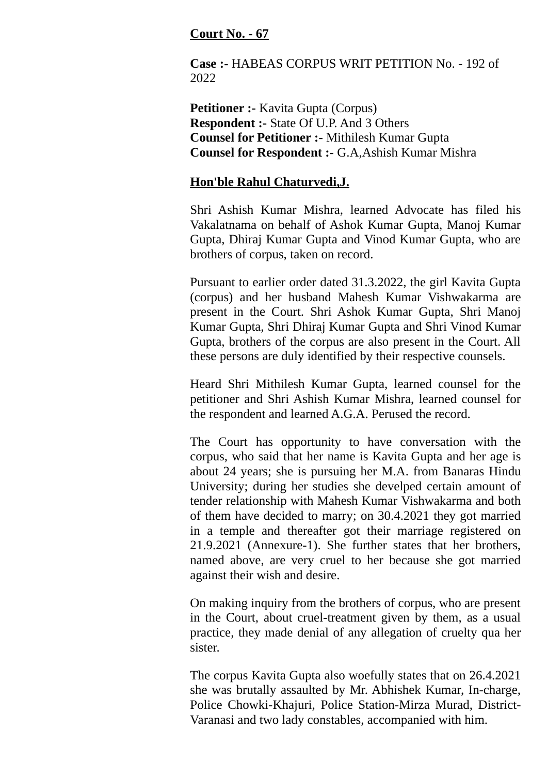## **Court No. - 67**

**Case :-** HABEAS CORPUS WRIT PETITION No. - 192 of 2022

**Petitioner :-** Kavita Gupta (Corpus) **Respondent :-** State Of U.P. And 3 Others **Counsel for Petitioner :-** Mithilesh Kumar Gupta **Counsel for Respondent :-** G.A,Ashish Kumar Mishra

## **Hon'ble Rahul Chaturvedi,J.**

Shri Ashish Kumar Mishra, learned Advocate has filed his Vakalatnama on behalf of Ashok Kumar Gupta, Manoj Kumar Gupta, Dhiraj Kumar Gupta and Vinod Kumar Gupta, who are brothers of corpus, taken on record.

Pursuant to earlier order dated 31.3.2022, the girl Kavita Gupta (corpus) and her husband Mahesh Kumar Vishwakarma are present in the Court. Shri Ashok Kumar Gupta, Shri Manoj Kumar Gupta, Shri Dhiraj Kumar Gupta and Shri Vinod Kumar Gupta, brothers of the corpus are also present in the Court. All these persons are duly identified by their respective counsels.

Heard Shri Mithilesh Kumar Gupta, learned counsel for the petitioner and Shri Ashish Kumar Mishra, learned counsel for the respondent and learned A.G.A. Perused the record.

The Court has opportunity to have conversation with the corpus, who said that her name is Kavita Gupta and her age is about 24 years; she is pursuing her M.A. from Banaras Hindu University; during her studies she develped certain amount of tender relationship with Mahesh Kumar Vishwakarma and both of them have decided to marry; on 30.4.2021 they got married in a temple and thereafter got their marriage registered on 21.9.2021 (Annexure-1). She further states that her brothers, named above, are very cruel to her because she got married against their wish and desire.

On making inquiry from the brothers of corpus, who are present in the Court, about cruel-treatment given by them, as a usual practice, they made denial of any allegation of cruelty qua her sister.

The corpus Kavita Gupta also woefully states that on 26.4.2021 she was brutally assaulted by Mr. Abhishek Kumar, In-charge, Police Chowki-Khajuri, Police Station-Mirza Murad, District-Varanasi and two lady constables, accompanied with him.